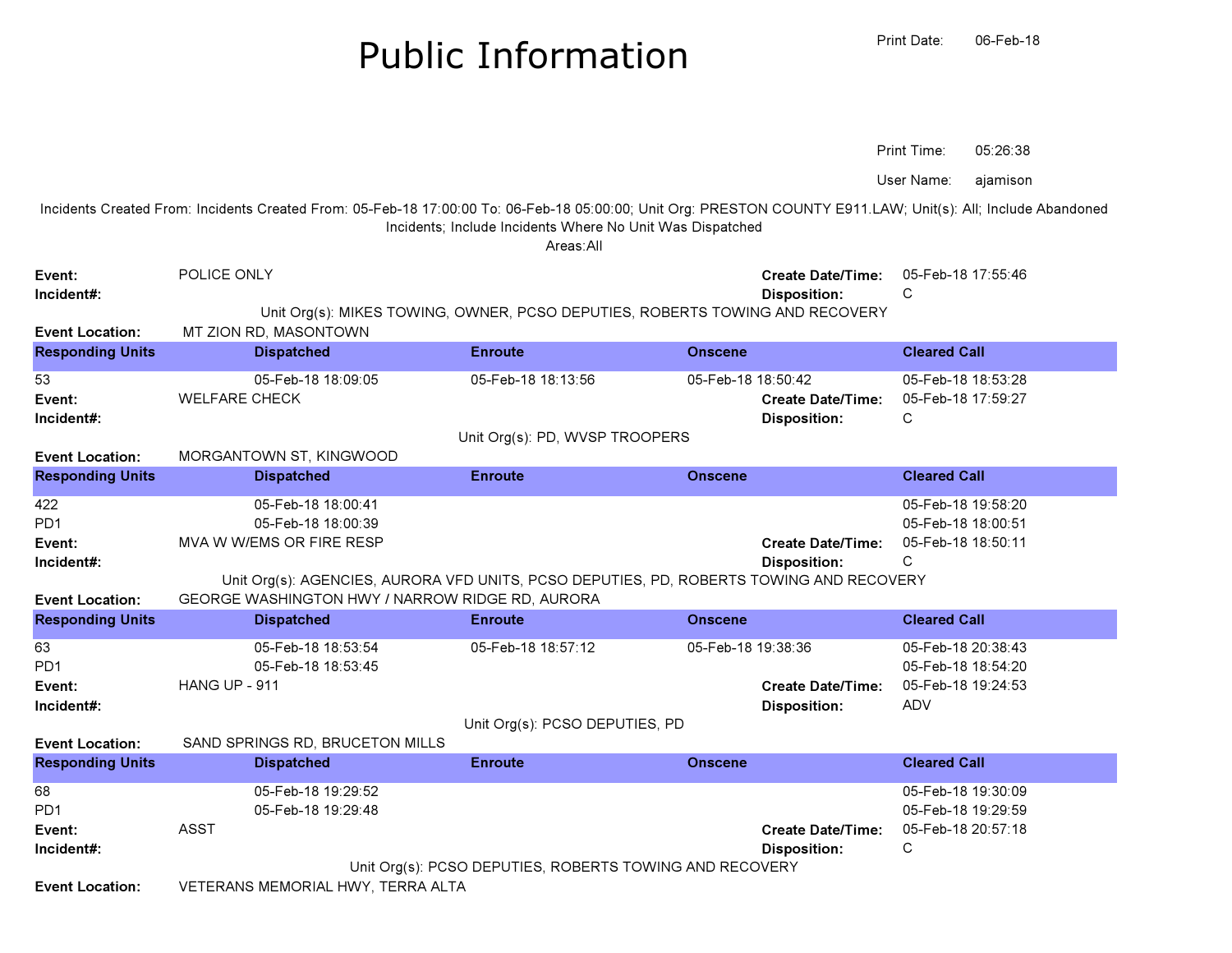## Public InformationPrint Date:

ajamisonUser Name:

Incidents Created From: Incidents Created From: 05-Feb-18 17:00:00 To: 06-Feb-18 05:00:00; Unit Org: PRESTON COUNTY E911.LAW; Unit(s): All; Include Abandoned Incidents; Include Incidents Where No Unit Was Dispatched

Areas:All

| Event:<br>Incident#:    | POLICE ONLY                                                                             |                    | <b>Create Date/Time:</b><br><b>Disposition:</b> | 05-Feb-18 17:55:46<br>C |  |  |  |
|-------------------------|-----------------------------------------------------------------------------------------|--------------------|-------------------------------------------------|-------------------------|--|--|--|
|                         | Unit Org(s): MIKES TOWING, OWNER, PCSO DEPUTIES, ROBERTS TOWING AND RECOVERY            |                    |                                                 |                         |  |  |  |
| <b>Event Location:</b>  | MT ZION RD, MASONTOWN                                                                   |                    |                                                 |                         |  |  |  |
| <b>Responding Units</b> | <b>Dispatched</b>                                                                       | <b>Enroute</b>     | <b>Onscene</b>                                  | <b>Cleared Call</b>     |  |  |  |
| 53                      | 05-Feb-18 18:09:05                                                                      | 05-Feb-18 18:13:56 | 05-Feb-18 18:50:42                              | 05-Feb-18 18:53:28      |  |  |  |
| Event:                  | <b>WELFARE CHECK</b>                                                                    |                    | <b>Create Date/Time:</b>                        | 05-Feb-18 17:59:27      |  |  |  |
| Incident#:              |                                                                                         |                    | <b>Disposition:</b>                             | C                       |  |  |  |
| <b>Event Location:</b>  | Unit Org(s): PD, WVSP TROOPERS<br>MORGANTOWN ST, KINGWOOD                               |                    |                                                 |                         |  |  |  |
| <b>Responding Units</b> | <b>Dispatched</b>                                                                       | <b>Enroute</b>     | <b>Onscene</b>                                  | <b>Cleared Call</b>     |  |  |  |
| 422                     | 05-Feb-18 18:00:41                                                                      |                    |                                                 | 05-Feb-18 19:58:20      |  |  |  |
| PD <sub>1</sub>         | 05-Feb-18 18:00:39                                                                      |                    |                                                 | 05-Feb-18 18:00:51      |  |  |  |
| Event:                  | MVA W W/EMS OR FIRE RESP                                                                |                    | <b>Create Date/Time:</b>                        | 05-Feb-18 18:50:11      |  |  |  |
| Incident#:              |                                                                                         |                    | <b>Disposition:</b>                             | C                       |  |  |  |
|                         | Unit Org(s): AGENCIES, AURORA VFD UNITS, PCSO DEPUTIES, PD, ROBERTS TOWING AND RECOVERY |                    |                                                 |                         |  |  |  |
| <b>Event Location:</b>  | GEORGE WASHINGTON HWY / NARROW RIDGE RD, AURORA                                         |                    |                                                 |                         |  |  |  |
| <b>Responding Units</b> | <b>Dispatched</b>                                                                       | <b>Enroute</b>     | <b>Onscene</b>                                  | <b>Cleared Call</b>     |  |  |  |
| 63                      | 05-Feb-18 18:53:54                                                                      | 05-Feb-18 18:57:12 | 05-Feb-18 19:38:36                              | 05-Feb-18 20:38:43      |  |  |  |
| PD <sub>1</sub>         | 05-Feb-18 18:53:45                                                                      |                    |                                                 | 05-Feb-18 18:54:20      |  |  |  |
| Event:                  | HANG UP - 911                                                                           |                    | <b>Create Date/Time:</b>                        | 05-Feb-18 19:24:53      |  |  |  |
| Incident#:              |                                                                                         |                    | <b>Disposition:</b>                             | <b>ADV</b>              |  |  |  |
|                         | Unit Org(s): PCSO DEPUTIES, PD                                                          |                    |                                                 |                         |  |  |  |
| <b>Event Location:</b>  | SAND SPRINGS RD, BRUCETON MILLS                                                         |                    |                                                 |                         |  |  |  |
| <b>Responding Units</b> | <b>Dispatched</b>                                                                       | <b>Enroute</b>     | <b>Onscene</b>                                  | <b>Cleared Call</b>     |  |  |  |
| 68                      | 05-Feb-18 19:29:52                                                                      |                    |                                                 | 05-Feb-18 19:30:09      |  |  |  |
| PD <sub>1</sub>         | 05-Feb-18 19:29:48                                                                      |                    |                                                 | 05-Feb-18 19:29:59      |  |  |  |
| Event:                  | <b>ASST</b>                                                                             |                    | <b>Create Date/Time:</b>                        | 05-Feb-18 20:57:18      |  |  |  |
| Incident#:              |                                                                                         |                    | <b>Disposition:</b>                             | С                       |  |  |  |
|                         | Unit Org(s): PCSO DEPUTIES, ROBERTS TOWING AND RECOVERY                                 |                    |                                                 |                         |  |  |  |
| <b>Event Location:</b>  | VETERANS MEMORIAL HWY, TERRA ALTA                                                       |                    |                                                 |                         |  |  |  |